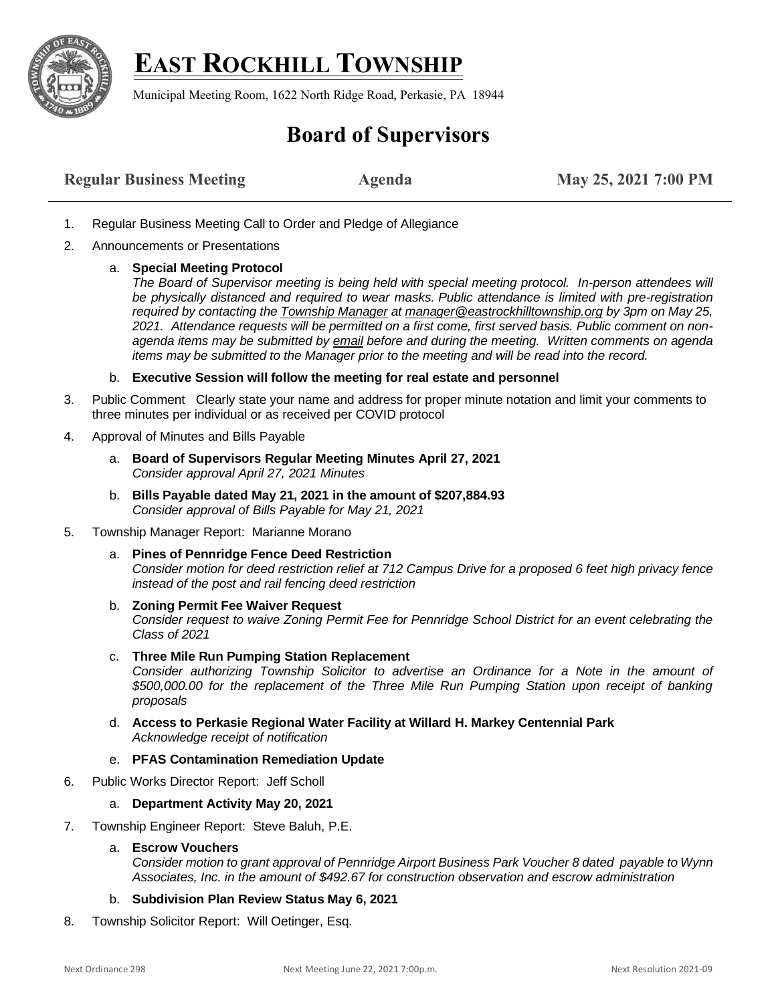

## **EAST ROCKHILL TOWNSHIP**

Municipal Meeting Room, 1622 North Ridge Road, Perkasie, PA 18944

## **Board of Supervisors**

- 1. Regular Business Meeting Call to Order and Pledge of Allegiance
- 2. Announcements or Presentations
	- a. **Special Meeting Protocol** 
		- *The Board of Supervisor meeting is being held with special meeting protocol. In-person attendees will be physically distanced and required to wear masks. Public attendance is limited with pre-registration required by contacting th[e Township Manager](mailto:Manager@EastRockhillTownship.org?subject=Attendance%20Request%203/23/2021%20Supervisor%20Meeting) a[t manager@eastrockhilltownship.org](mailto:Manager@EastRockhillTownship.org) by 3pm on May 25, 2021. Attendance requests will be permitted on a first come, first served basis. Public comment on nonagenda items may be submitted by [email](mailto:Manager@EastRockhillTownship.org?subject=Public%20Comment%203/23/2021%20Supervisor%20Meeting) before and during the meeting. Written comments on agenda items may be submitted to the Manager prior to the meeting and will be read into the record.*
	- b. **Executive Session will follow the meeting for real estate and personnel**
- 3. Public Comment Clearly state your name and address for proper minute notation and limit your comments to three minutes per individual or as received per COVID protocol
- 4. Approval of Minutes and Bills Payable
	- a. **Board of Supervisors Regular Meeting Minutes April 27, 2021** *Consider approval April 27, 2021 Minutes*
	- b. **Bills Payable dated May 21, 2021 in the amount of \$207,884.93** *Consider approval of Bills Payable for May 21, 2021*
- 5. Township Manager Report: Marianne Morano
	- a. **Pines of Pennridge Fence Deed Restriction** *Consider motion for deed restriction relief at 712 Campus Drive for a proposed 6 feet high privacy fence instead of the post and rail fencing deed restriction*
	- b. **Zoning Permit Fee Waiver Request** *Consider request to waive Zoning Permit Fee for Pennridge School District for an event celebrating the Class of 2021*
	- c. **Three Mile Run Pumping Station Replacement** *Consider authorizing Township Solicitor to advertise an Ordinance for a Note in the amount of \$500,000.00 for the replacement of the Three Mile Run Pumping Station upon receipt of banking proposals*
	- d. **Access to Perkasie Regional Water Facility at Willard H. Markey Centennial Park** *Acknowledge receipt of notification*
	- e. **PFAS Contamination Remediation Update**
- 6. Public Works Director Report: Jeff Scholl

## a. **Department Activity May 20, 2021**

7. Township Engineer Report: Steve Baluh, P.E.

## a. **Escrow Vouchers**

*Consider motion to grant approval of Pennridge Airport Business Park Voucher 8 dated payable to Wynn Associates, Inc. in the amount of \$492.67 for construction observation and escrow administration* 

- b. **Subdivision Plan Review Status May 6, 2021**
- 8. Township Solicitor Report: Will Oetinger, Esq.